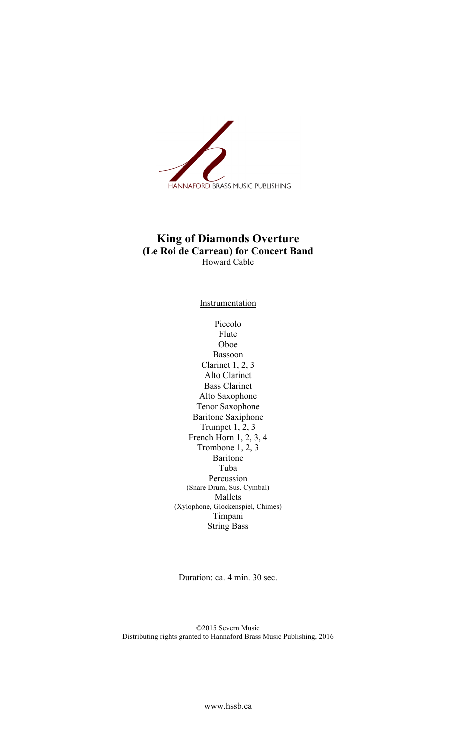

## **King of Diamonds Overture (Le Roi de Carreau) for Concert Band** Howard Cable

**Instrumentation** 

Piccolo Flute Oboe Bassoon Clarinet 1, 2, 3 Alto Clarinet Bass Clarinet Alto Saxophone Tenor Saxophone Baritone Saxiphone Trumpet 1, 2, 3 French Horn 1, 2, 3, 4 Trombone 1, 2, 3 Baritone Tuba Percussion (Snare Drum, Sus. Cymbal) Mallets (Xylophone, Glockenspiel, Chimes) Timpani String Bass

Duration: ca. 4 min. 30 sec.

©2015 Severn Music Distributing rights granted to Hannaford Brass Music Publishing, 2016